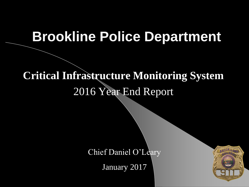#### **Brookline Police Department**

#### **Critical Infrastructure Monitoring System**  2016 Year End Report

Chief Daniel O'Leary

January 2017

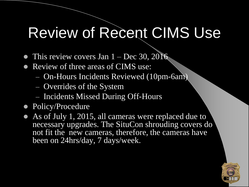### Review of Recent CIMS Use

- This review covers Jan  $1 Dec 30, 2016$
- Review of three areas of CIMS use:
	- On-Hours Incidents Reviewed (10pm-6am)
	- Overrides of the System
	- Incidents Missed During Off-Hours
- Policy/Procedure
- As of July 1, 2015, all cameras were replaced due to necessary upgrades. The SituCon shrouding covers do not fit the new cameras, therefore, the cameras have been on 24hrs/day, 7 days/week.

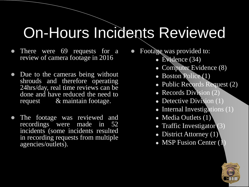## On-Hours Incidents Reviewed

- There were 69 requests for a review of camera footage in 2016
- Due to the cameras being without shrouds and therefore operating 24hrs/day, real time reviews can be done and have reduced the need to request & maintain footage.
- The footage was reviewed and recordings were made in 52 incidents (some incidents resulted in recording requests from multiple agencies/outlets).
- Footage was provided to:
	- Evidence (34)
	- Computer Evidence (8)
	- Boston Police (1)
	- Public Records Request (2)
	- **Records Division** (2)
	- Detective Division (1)
	- Internal Investigations (1)
	- Media Outlets  $(1)$
	- Traffic Investigator  $(3)$
	- District Attorney  $(1)$ <sup>'</sup>
	- MSP Fusion Center (1)

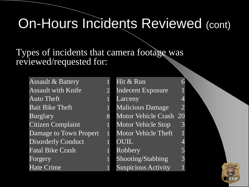### On-Hours Incidents Reviewed (cont)

Types of incidents that camera footage was reviewed/requested for:

Assault & Battery 1 Assault with Knife 2 Auto Theft 1 Bait Bike Theft 1 Burglary 8 Citizen Complaint 1 Damage to Town Propert 1 Disorderly Conduct 1 Fatal Bike Crash 1 Forgery Hate Crime

Hit & Run 6 Indecent Exposure Larceny 4 Malicious Damage Motor Vehicle Crash 20 Motor Vehicle Stop 3 Motor Vehicle Theft OUIL 4 Robbery 5 Shooting/Stabbing 3 Suspicious Activity 1

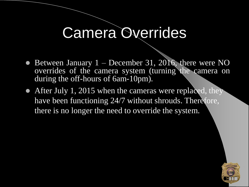### Camera Overrides

- $\bullet$  Between January 1 December 31, 2016, there were NO overrides of the camera system (turning the camera on during the off-hours of 6am-10pm).
- After July 1, 2015 when the cameras were replaced, they have been functioning 24/7 without shrouds. Therefore, there is no longer the need to override the system.

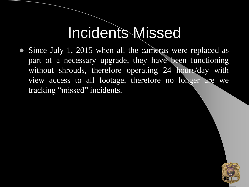### Incidents Missed

 Since July 1, 2015 when all the cameras were replaced as part of a necessary upgrade, they have been functioning without shrouds, therefore operating 24 hours/day with view access to all footage, therefore no longer are we tracking "missed" incidents.